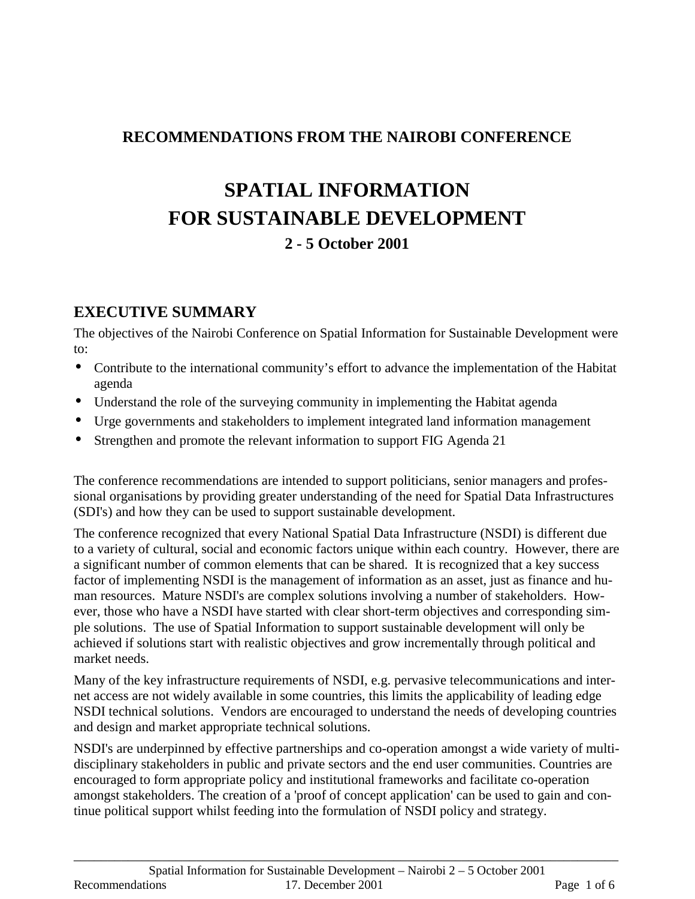#### **RECOMMENDATIONS FROM THE NAIROBI CONFERENCE**

# **SPATIAL INFORMATION FOR SUSTAINABLE DEVELOPMENT 2 - 5 October 2001**

#### **EXECUTIVE SUMMARY**

The objectives of the Nairobi Conference on Spatial Information for Sustainable Development were to:

- Contribute to the international community's effort to advance the implementation of the Habitat agenda
- Understand the role of the surveying community in implementing the Habitat agenda
- Urge governments and stakeholders to implement integrated land information management
- Strengthen and promote the relevant information to support FIG Agenda 21

The conference recommendations are intended to support politicians, senior managers and professional organisations by providing greater understanding of the need for Spatial Data Infrastructures (SDI's) and how they can be used to support sustainable development.

The conference recognized that every National Spatial Data Infrastructure (NSDI) is different due to a variety of cultural, social and economic factors unique within each country. However, there are a significant number of common elements that can be shared. It is recognized that a key success factor of implementing NSDI is the management of information as an asset, just as finance and human resources. Mature NSDI's are complex solutions involving a number of stakeholders. However, those who have a NSDI have started with clear short-term objectives and corresponding simple solutions. The use of Spatial Information to support sustainable development will only be achieved if solutions start with realistic objectives and grow incrementally through political and market needs.

Many of the key infrastructure requirements of NSDI, e.g. pervasive telecommunications and internet access are not widely available in some countries, this limits the applicability of leading edge NSDI technical solutions. Vendors are encouraged to understand the needs of developing countries and design and market appropriate technical solutions.

NSDI's are underpinned by effective partnerships and co-operation amongst a wide variety of multidisciplinary stakeholders in public and private sectors and the end user communities. Countries are encouraged to form appropriate policy and institutional frameworks and facilitate co-operation amongst stakeholders. The creation of a 'proof of concept application' can be used to gain and continue political support whilst feeding into the formulation of NSDI policy and strategy.

\_\_\_\_\_\_\_\_\_\_\_\_\_\_\_\_\_\_\_\_\_\_\_\_\_\_\_\_\_\_\_\_\_\_\_\_\_\_\_\_\_\_\_\_\_\_\_\_\_\_\_\_\_\_\_\_\_\_\_\_\_\_\_\_\_\_\_\_\_\_\_\_\_\_\_\_\_\_\_\_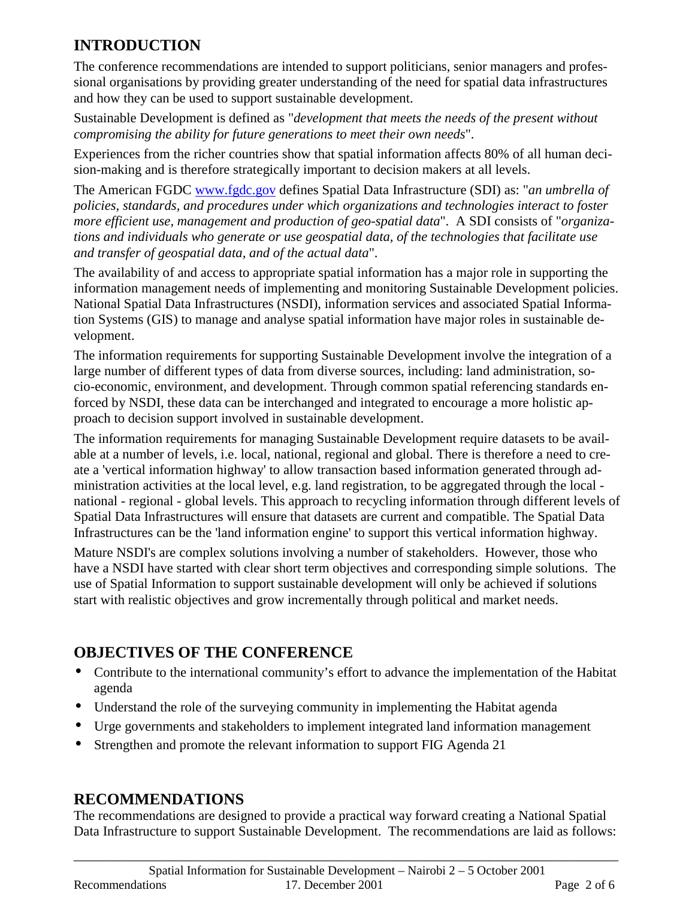### **INTRODUCTION**

The conference recommendations are intended to support politicians, senior managers and professional organisations by providing greater understanding of the need for spatial data infrastructures and how they can be used to support sustainable development.

Sustainable Development is defined as "*development that meets the needs of the present without compromising the ability for future generations to meet their own needs*".

Experiences from the richer countries show that spatial information affects 80% of all human decision-making and is therefore strategically important to decision makers at all levels.

The American FGDC www.fgdc.gov defines Spatial Data Infrastructure (SDI) as: "*an umbrella of policies, standards, and procedures under which organizations and technologies interact to foster more efficient use, management and production of geo-spatial data*". A SDI consists of "*organizations and individuals who generate or use geospatial data, of the technologies that facilitate use and transfer of geospatial data, and of the actual data*".

The availability of and access to appropriate spatial information has a major role in supporting the information management needs of implementing and monitoring Sustainable Development policies. National Spatial Data Infrastructures (NSDI), information services and associated Spatial Information Systems (GIS) to manage and analyse spatial information have major roles in sustainable development.

The information requirements for supporting Sustainable Development involve the integration of a large number of different types of data from diverse sources, including: land administration, socio-economic, environment, and development. Through common spatial referencing standards enforced by NSDI, these data can be interchanged and integrated to encourage a more holistic approach to decision support involved in sustainable development.

The information requirements for managing Sustainable Development require datasets to be available at a number of levels, i.e. local, national, regional and global. There is therefore a need to create a 'vertical information highway' to allow transaction based information generated through administration activities at the local level, e.g. land registration, to be aggregated through the local national - regional - global levels. This approach to recycling information through different levels of Spatial Data Infrastructures will ensure that datasets are current and compatible. The Spatial Data Infrastructures can be the 'land information engine' to support this vertical information highway.

Mature NSDI's are complex solutions involving a number of stakeholders. However, those who have a NSDI have started with clear short term objectives and corresponding simple solutions. The use of Spatial Information to support sustainable development will only be achieved if solutions start with realistic objectives and grow incrementally through political and market needs.

### **OBJECTIVES OF THE CONFERENCE**

- Contribute to the international community's effort to advance the implementation of the Habitat agenda
- Understand the role of the surveying community in implementing the Habitat agenda
- Urge governments and stakeholders to implement integrated land information management
- Strengthen and promote the relevant information to support FIG Agenda 21

#### **RECOMMENDATIONS**

The recommendations are designed to provide a practical way forward creating a National Spatial Data Infrastructure to support Sustainable Development. The recommendations are laid as follows: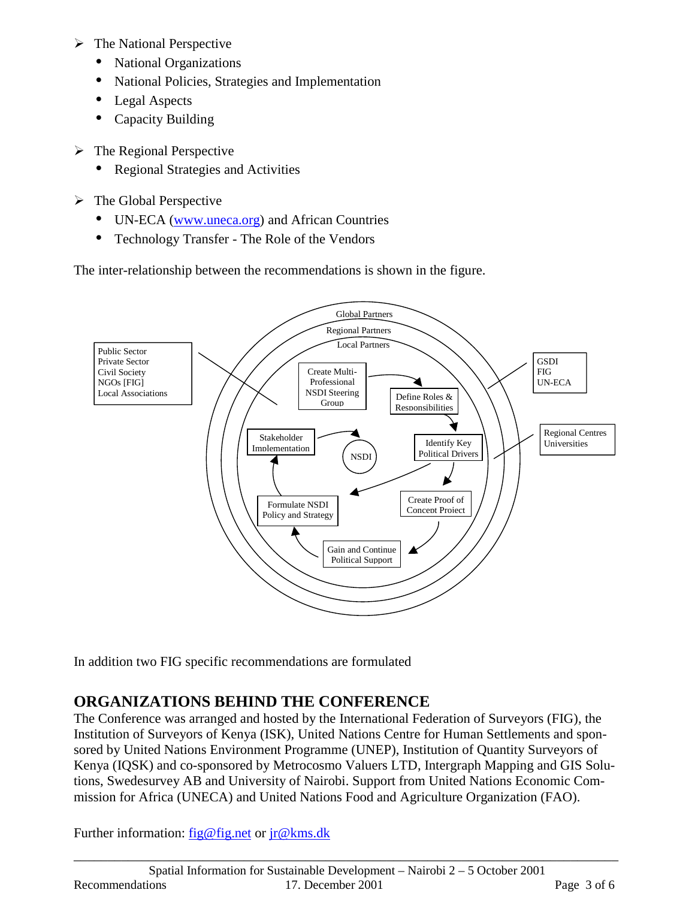- $\triangleright$  The National Perspective
	- National Organizations
	- National Policies, Strategies and Implementation
	- Legal Aspects
	- Capacity Building
- $\triangleright$  The Regional Perspective
	- Regional Strategies and Activities
- $\triangleright$  The Global Perspective
	- UN-ECA (www.uneca.org) and African Countries
	- Technology Transfer The Role of the Vendors

The inter-relationship between the recommendations is shown in the figure.



In addition two FIG specific recommendations are formulated

#### **ORGANIZATIONS BEHIND THE CONFERENCE**

The Conference was arranged and hosted by the International Federation of Surveyors (FIG), the Institution of Surveyors of Kenya (ISK), United Nations Centre for Human Settlements and sponsored by United Nations Environment Programme (UNEP), Institution of Quantity Surveyors of Kenya (IQSK) and co-sponsored by Metrocosmo Valuers LTD, Intergraph Mapping and GIS Solutions, Swedesurvey AB and University of Nairobi. Support from United Nations Economic Commission for Africa (UNECA) and United Nations Food and Agriculture Organization (FAO).

\_\_\_\_\_\_\_\_\_\_\_\_\_\_\_\_\_\_\_\_\_\_\_\_\_\_\_\_\_\_\_\_\_\_\_\_\_\_\_\_\_\_\_\_\_\_\_\_\_\_\_\_\_\_\_\_\_\_\_\_\_\_\_\_\_\_\_\_\_\_\_\_\_\_\_\_\_\_\_\_

Further information: fig@fig.net or jr@kms.dk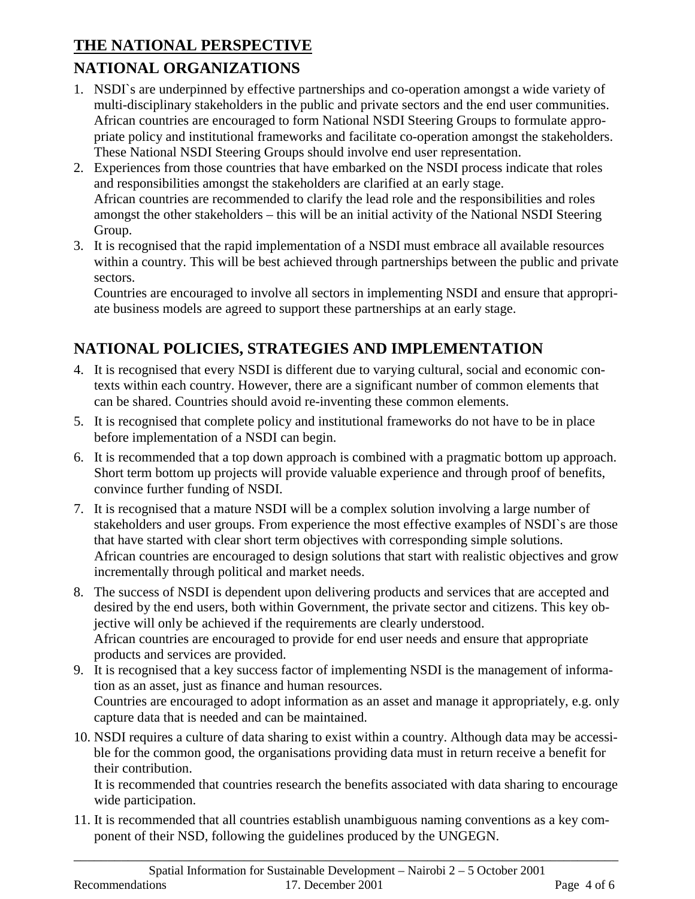## **THE NATIONAL PERSPECTIVE NATIONAL ORGANIZATIONS**

- 1. NSDI`s are underpinned by effective partnerships and co-operation amongst a wide variety of multi-disciplinary stakeholders in the public and private sectors and the end user communities. African countries are encouraged to form National NSDI Steering Groups to formulate appropriate policy and institutional frameworks and facilitate co-operation amongst the stakeholders. These National NSDI Steering Groups should involve end user representation.
- 2. Experiences from those countries that have embarked on the NSDI process indicate that roles and responsibilities amongst the stakeholders are clarified at an early stage. African countries are recommended to clarify the lead role and the responsibilities and roles amongst the other stakeholders – this will be an initial activity of the National NSDI Steering Group.
- 3. It is recognised that the rapid implementation of a NSDI must embrace all available resources within a country. This will be best achieved through partnerships between the public and private sectors.

Countries are encouraged to involve all sectors in implementing NSDI and ensure that appropriate business models are agreed to support these partnerships at an early stage.

## **NATIONAL POLICIES, STRATEGIES AND IMPLEMENTATION**

- 4. It is recognised that every NSDI is different due to varying cultural, social and economic contexts within each country. However, there are a significant number of common elements that can be shared. Countries should avoid re-inventing these common elements.
- 5. It is recognised that complete policy and institutional frameworks do not have to be in place before implementation of a NSDI can begin.
- 6. It is recommended that a top down approach is combined with a pragmatic bottom up approach. Short term bottom up projects will provide valuable experience and through proof of benefits, convince further funding of NSDI.
- 7. It is recognised that a mature NSDI will be a complex solution involving a large number of stakeholders and user groups. From experience the most effective examples of NSDI`s are those that have started with clear short term objectives with corresponding simple solutions. African countries are encouraged to design solutions that start with realistic objectives and grow incrementally through political and market needs.
- 8. The success of NSDI is dependent upon delivering products and services that are accepted and desired by the end users, both within Government, the private sector and citizens. This key objective will only be achieved if the requirements are clearly understood. African countries are encouraged to provide for end user needs and ensure that appropriate products and services are provided.
- 9. It is recognised that a key success factor of implementing NSDI is the management of information as an asset, just as finance and human resources. Countries are encouraged to adopt information as an asset and manage it appropriately, e.g. only capture data that is needed and can be maintained.
- 10. NSDI requires a culture of data sharing to exist within a country. Although data may be accessible for the common good, the organisations providing data must in return receive a benefit for their contribution.

It is recommended that countries research the benefits associated with data sharing to encourage wide participation.

11. It is recommended that all countries establish unambiguous naming conventions as a key component of their NSD, following the guidelines produced by the UNGEGN.

\_\_\_\_\_\_\_\_\_\_\_\_\_\_\_\_\_\_\_\_\_\_\_\_\_\_\_\_\_\_\_\_\_\_\_\_\_\_\_\_\_\_\_\_\_\_\_\_\_\_\_\_\_\_\_\_\_\_\_\_\_\_\_\_\_\_\_\_\_\_\_\_\_\_\_\_\_\_\_\_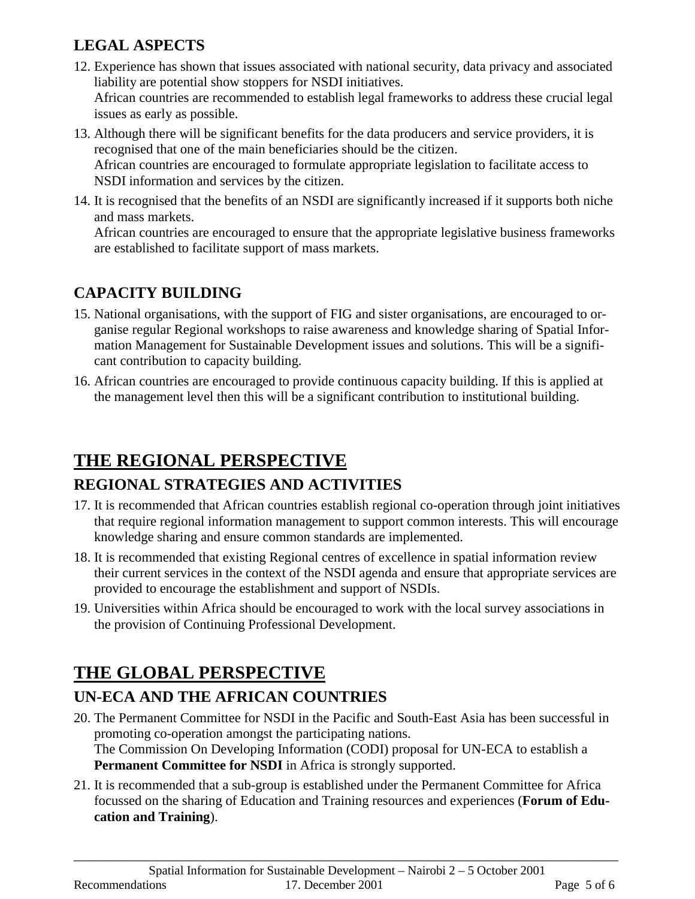## **LEGAL ASPECTS**

- 12. Experience has shown that issues associated with national security, data privacy and associated liability are potential show stoppers for NSDI initiatives. African countries are recommended to establish legal frameworks to address these crucial legal issues as early as possible.
- 13. Although there will be significant benefits for the data producers and service providers, it is recognised that one of the main beneficiaries should be the citizen. African countries are encouraged to formulate appropriate legislation to facilitate access to NSDI information and services by the citizen.
- 14. It is recognised that the benefits of an NSDI are significantly increased if it supports both niche and mass markets.

African countries are encouraged to ensure that the appropriate legislative business frameworks are established to facilitate support of mass markets.

## **CAPACITY BUILDING**

- 15. National organisations, with the support of FIG and sister organisations, are encouraged to organise regular Regional workshops to raise awareness and knowledge sharing of Spatial Information Management for Sustainable Development issues and solutions. This will be a significant contribution to capacity building.
- 16. African countries are encouraged to provide continuous capacity building. If this is applied at the management level then this will be a significant contribution to institutional building.

## **THE REGIONAL PERSPECTIVE REGIONAL STRATEGIES AND ACTIVITIES**

- 17. It is recommended that African countries establish regional co-operation through joint initiatives that require regional information management to support common interests. This will encourage knowledge sharing and ensure common standards are implemented.
- 18. It is recommended that existing Regional centres of excellence in spatial information review their current services in the context of the NSDI agenda and ensure that appropriate services are provided to encourage the establishment and support of NSDIs.
- 19. Universities within Africa should be encouraged to work with the local survey associations in the provision of Continuing Professional Development.

# **THE GLOBAL PERSPECTIVE**

## **UN-ECA AND THE AFRICAN COUNTRIES**

- 20. The Permanent Committee for NSDI in the Pacific and South-East Asia has been successful in promoting co-operation amongst the participating nations. The Commission On Developing Information (CODI) proposal for UN-ECA to establish a **Permanent Committee for NSDI** in Africa is strongly supported.
- 21. It is recommended that a sub-group is established under the Permanent Committee for Africa focussed on the sharing of Education and Training resources and experiences (**Forum of Education and Training**).

\_\_\_\_\_\_\_\_\_\_\_\_\_\_\_\_\_\_\_\_\_\_\_\_\_\_\_\_\_\_\_\_\_\_\_\_\_\_\_\_\_\_\_\_\_\_\_\_\_\_\_\_\_\_\_\_\_\_\_\_\_\_\_\_\_\_\_\_\_\_\_\_\_\_\_\_\_\_\_\_